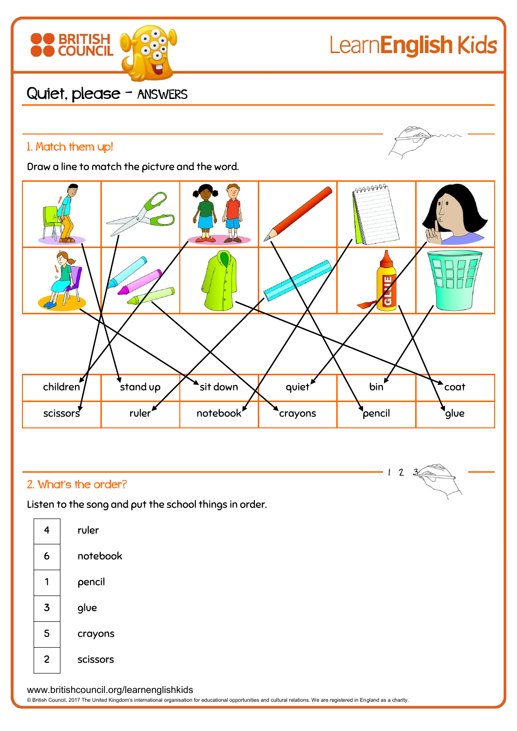

# LearnEnglish Kids

Quiet, please - ANSWERS

# 1. Match them up!

Draw a line to match the picture and the word.



## 2. What's the order?

Listen to the song and put the school things in order.





www.britishcouncil.org/learnenglishkids

© British Council, 2017 The United Kingdom's international organisation for educational opportunities and cultural relations. We are registered in England as a charity.